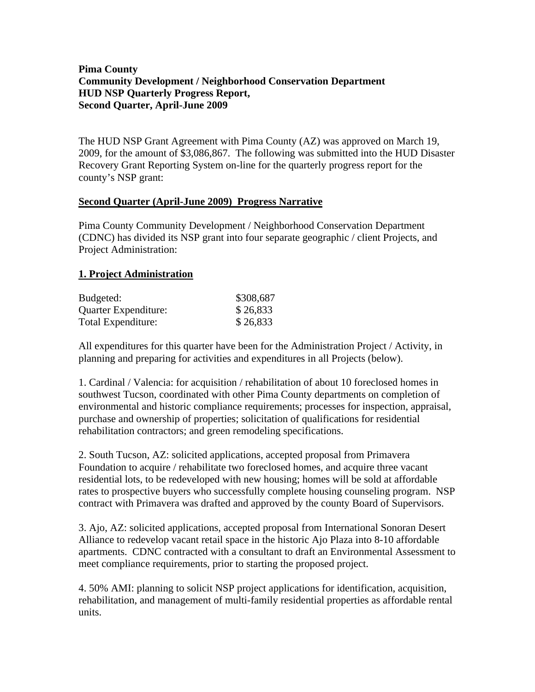# **Pima County Community Development / Neighborhood Conservation Department HUD NSP Quarterly Progress Report, Second Quarter, April-June 2009**

The HUD NSP Grant Agreement with Pima County (AZ) was approved on March 19, 2009, for the amount of \$3,086,867. The following was submitted into the HUD Disaster Recovery Grant Reporting System on-line for the quarterly progress report for the county's NSP grant:

#### **Second Quarter (April-June 2009) Progress Narrative**

Pima County Community Development / Neighborhood Conservation Department (CDNC) has divided its NSP grant into four separate geographic / client Projects, and Project Administration:

# **1. Project Administration**

| Budgeted:            | \$308,687 |
|----------------------|-----------|
| Quarter Expenditure: | \$26,833  |
| Total Expenditure:   | \$26,833  |

All expenditures for this quarter have been for the Administration Project / Activity, in planning and preparing for activities and expenditures in all Projects (below).

1. Cardinal / Valencia: for acquisition / rehabilitation of about 10 foreclosed homes in southwest Tucson, coordinated with other Pima County departments on completion of environmental and historic compliance requirements; processes for inspection, appraisal, purchase and ownership of properties; solicitation of qualifications for residential rehabilitation contractors; and green remodeling specifications.

2. South Tucson, AZ: solicited applications, accepted proposal from Primavera Foundation to acquire / rehabilitate two foreclosed homes, and acquire three vacant residential lots, to be redeveloped with new housing; homes will be sold at affordable rates to prospective buyers who successfully complete housing counseling program. NSP contract with Primavera was drafted and approved by the county Board of Supervisors.

3. Ajo, AZ: solicited applications, accepted proposal from International Sonoran Desert Alliance to redevelop vacant retail space in the historic Ajo Plaza into 8-10 affordable apartments. CDNC contracted with a consultant to draft an Environmental Assessment to meet compliance requirements, prior to starting the proposed project.

4. 50% AMI: planning to solicit NSP project applications for identification, acquisition, rehabilitation, and management of multi-family residential properties as affordable rental units.